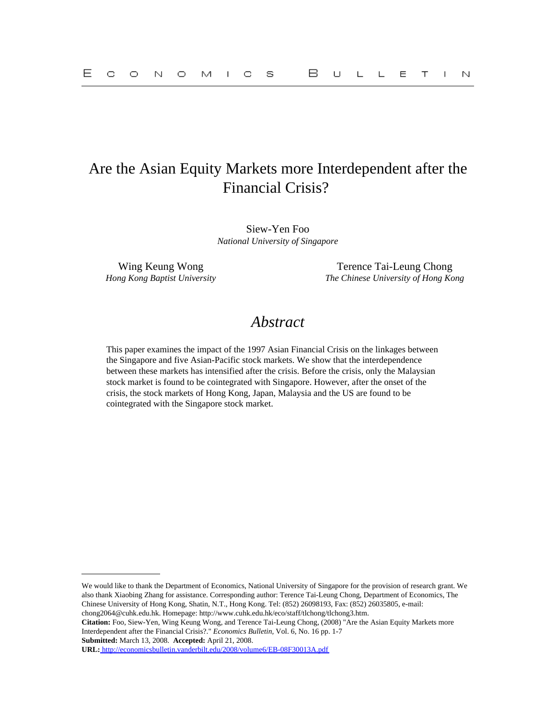# Are the Asian Equity Markets more Interdependent after the Financial Crisis?

Siew-Yen Foo *National University of Singapore*

Wing Keung Wong Terence Tai-Leung Chong *Hong Kong Baptist University The Chinese University of Hong Kong*

## *Abstract*

This paper examines the impact of the 1997 Asian Financial Crisis on the linkages between the Singapore and five Asian-Pacific stock markets. We show that the interdependence between these markets has intensified after the crisis. Before the crisis, only the Malaysian stock market is found to be cointegrated with Singapore. However, after the onset of the crisis, the stock markets of Hong Kong, Japan, Malaysia and the US are found to be cointegrated with the Singapore stock market.

We would like to thank the Department of Economics, National University of Singapore for the provision of research grant. We also thank Xiaobing Zhang for assistance. Corresponding author: Terence Tai-Leung Chong, Department of Economics, The Chinese University of Hong Kong, Shatin, N.T., Hong Kong. Tel: (852) 26098193, Fax: (852) 26035805, e-mail: chong2064@cuhk.edu.hk. Homepage: http://www.cuhk.edu.hk/eco/staff/tlchong/tlchong3.htm.

**Citation:** Foo, Siew-Yen, Wing Keung Wong, and Terence Tai-Leung Chong, (2008) "Are the Asian Equity Markets more Interdependent after the Financial Crisis?." *Economics Bulletin,* Vol. 6, No. 16 pp. 1-7 **Submitted:** March 13, 2008. **Accepted:** April 21, 2008.

**URL:**<http://economicsbulletin.vanderbilt.edu/2008/volume6/EB-08F30013A.pdf>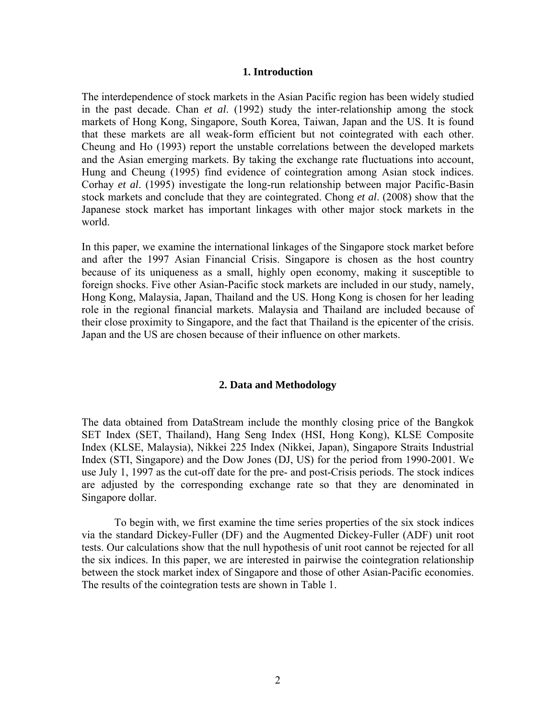#### **1. Introduction**

The interdependence of stock markets in the Asian Pacific region has been widely studied in the past decade. Chan *et al*. (1992) study the inter-relationship among the stock markets of Hong Kong, Singapore, South Korea, Taiwan, Japan and the US. It is found that these markets are all weak-form efficient but not cointegrated with each other. Cheung and Ho (1993) report the unstable correlations between the developed markets and the Asian emerging markets. By taking the exchange rate fluctuations into account, Hung and Cheung (1995) find evidence of cointegration among Asian stock indices. Corhay *et al*. (1995) investigate the long-run relationship between major Pacific-Basin stock markets and conclude that they are cointegrated. Chong *et al*. (2008) show that the Japanese stock market has important linkages with other major stock markets in the world.

In this paper, we examine the international linkages of the Singapore stock market before and after the 1997 Asian Financial Crisis. Singapore is chosen as the host country because of its uniqueness as a small, highly open economy, making it susceptible to foreign shocks. Five other Asian-Pacific stock markets are included in our study, namely, Hong Kong, Malaysia, Japan, Thailand and the US. Hong Kong is chosen for her leading role in the regional financial markets. Malaysia and Thailand are included because of their close proximity to Singapore, and the fact that Thailand is the epicenter of the crisis. Japan and the US are chosen because of their influence on other markets.

#### **2. Data and Methodology**

The data obtained from DataStream include the monthly closing price of the Bangkok SET Index (SET, Thailand), Hang Seng Index (HSI, Hong Kong), KLSE Composite Index (KLSE, Malaysia), Nikkei 225 Index (Nikkei, Japan), Singapore Straits Industrial Index (STI, Singapore) and the Dow Jones (DJ, US) for the period from 1990-2001. We use July 1, 1997 as the cut-off date for the pre- and post-Crisis periods. The stock indices are adjusted by the corresponding exchange rate so that they are denominated in Singapore dollar.

To begin with, we first examine the time series properties of the six stock indices via the standard Dickey-Fuller (DF) and the Augmented Dickey-Fuller (ADF) unit root tests. Our calculations show that the null hypothesis of unit root cannot be rejected for all the six indices. In this paper, we are interested in pairwise the cointegration relationship between the stock market index of Singapore and those of other Asian-Pacific economies. The results of the cointegration tests are shown in Table 1.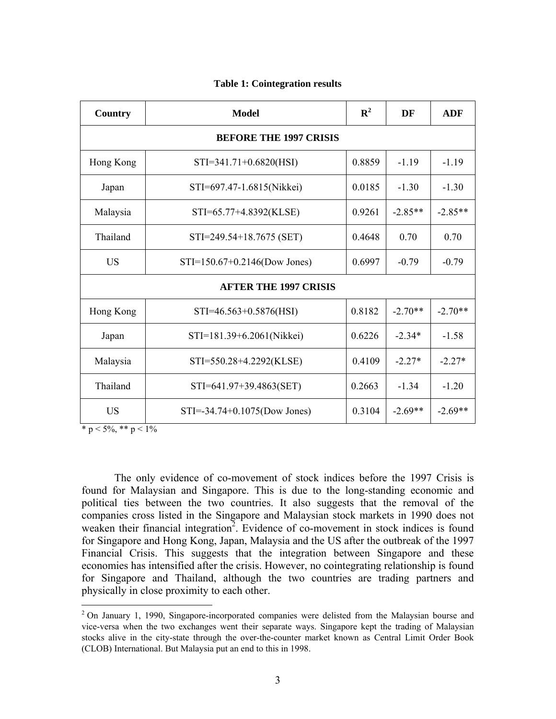| Country                       | <b>Model</b>                        | $\mathbf{R}^2$ | DF        | <b>ADF</b> |  |  |  |  |  |
|-------------------------------|-------------------------------------|----------------|-----------|------------|--|--|--|--|--|
| <b>BEFORE THE 1997 CRISIS</b> |                                     |                |           |            |  |  |  |  |  |
| Hong Kong                     | $STI = 341.71 + 0.6820(HSI)$        | 0.8859         |           | $-1.19$    |  |  |  |  |  |
| Japan                         | STI=697.47-1.6815(Nikkei)           | 0.0185         | $-1.30$   | $-1.30$    |  |  |  |  |  |
| Malaysia                      | STI=65.77+4.8392(KLSE)              | 0.9261         | $-2.85**$ | $-2.85**$  |  |  |  |  |  |
| Thailand                      | STI=249.54+18.7675 (SET)            | 0.4648         | 0.70      | 0.70       |  |  |  |  |  |
| <b>US</b>                     | $STI = 150.67 + 0.2146$ (Dow Jones) | 0.6997         | $-0.79$   | $-0.79$    |  |  |  |  |  |
| <b>AFTER THE 1997 CRISIS</b>  |                                     |                |           |            |  |  |  |  |  |
| Hong Kong                     | STI=46.563+0.5876(HSI)              | 0.8182         | $-2.70**$ | $-2.70**$  |  |  |  |  |  |
| Japan                         | STI=181.39+6.2061(Nikkei)           |                | $-2.34*$  | $-1.58$    |  |  |  |  |  |
| Malaysia                      | STI=550.28+4.2292(KLSE)             |                | $-2.27*$  | $-2.27*$   |  |  |  |  |  |
| Thailand                      | STI=641.97+39.4863(SET)             |                | $-1.34$   | $-1.20$    |  |  |  |  |  |
| <b>US</b>                     | STI=-34.74+0.1075(Dow Jones)        |                | $-2.69**$ | $-2.69**$  |  |  |  |  |  |

#### **Table 1: Cointegration results**

 $\overline{\ast p}$  < 5%,  $\overline{\ast p}$  < 1%

1

The only evidence of co-movement of stock indices before the 1997 Crisis is found for Malaysian and Singapore. This is due to the long-standing economic and political ties between the two countries. It also suggests that the removal of the companies cross listed in the Singapore and Malaysian stock markets in 1990 does not weaken their financial integration<sup>2</sup>. Evidence of co-movement in stock indices is found for Singapore and Hong Kong, Japan, Malaysia and the US after the outbreak of the 1997 Financial Crisis. This suggests that the integration between Singapore and these economies has intensified after the crisis. However, no cointegrating relationship is found for Singapore and Thailand, although the two countries are trading partners and physically in close proximity to each other.

 $2$  On January 1, 1990, Singapore-incorporated companies were delisted from the Malaysian bourse and vice-versa when the two exchanges went their separate ways. Singapore kept the trading of Malaysian stocks alive in the city-state through the over-the-counter market known as Central Limit Order Book (CLOB) International. But Malaysia put an end to this in 1998.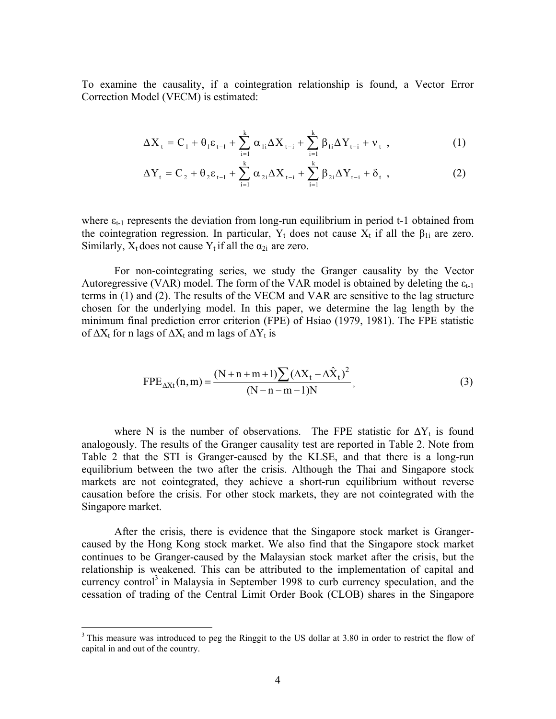To examine the causality, if a cointegration relationship is found, a Vector Error Correction Model (VECM) is estimated:

$$
\Delta X_{t} = C_{1} + \theta_{1} \varepsilon_{t-1} + \sum_{i=1}^{k} \alpha_{1i} \Delta X_{t-i} + \sum_{i=1}^{k} \beta_{1i} \Delta Y_{t-i} + v_{t} , \qquad (1)
$$

$$
\Delta Y_{t} = C_{2} + \theta_{2} \varepsilon_{t-1} + \sum_{i=1}^{k} \alpha_{2i} \Delta X_{t-i} + \sum_{i=1}^{k} \beta_{2i} \Delta Y_{t-i} + \delta_{t} , \qquad (2)
$$

where  $\varepsilon_{t-1}$  represents the deviation from long-run equilibrium in period t-1 obtained from the cointegration regression. In particular,  $Y_t$  does not cause  $X_t$  if all the  $\beta_{1i}$  are zero. Similarly,  $X_t$  does not cause  $Y_t$  if all the  $\alpha_{2i}$  are zero.

For non-cointegrating series, we study the Granger causality by the Vector Autoregressive (VAR) model. The form of the VAR model is obtained by deleting the  $\varepsilon_{t-1}$ terms in (1) and (2). The results of the VECM and VAR are sensitive to the lag structure chosen for the underlying model. In this paper, we determine the lag length by the minimum final prediction error criterion (FPE) of Hsiao (1979, 1981). The FPE statistic of  $\Delta X_t$  for n lags of  $\Delta X_t$  and m lags of  $\Delta Y_t$  is

$$
FPE_{\Delta Xt}(n,m) = \frac{(N+n+m+1)\sum (\Delta X_t - \Delta \hat{X}_t)^2}{(N-n-m-1)N},
$$
\n(3)

where N is the number of observations. The FPE statistic for  $\Delta Y_t$  is found analogously. The results of the Granger causality test are reported in Table 2. Note from Table 2 that the STI is Granger-caused by the KLSE, and that there is a long-run equilibrium between the two after the crisis. Although the Thai and Singapore stock markets are not cointegrated, they achieve a short-run equilibrium without reverse causation before the crisis. For other stock markets, they are not cointegrated with the Singapore market.

After the crisis, there is evidence that the Singapore stock market is Grangercaused by the Hong Kong stock market. We also find that the Singapore stock market continues to be Granger-caused by the Malaysian stock market after the crisis, but the relationship is weakened. This can be attributed to the implementation of capital and currency control<sup>3</sup> in Malaysia in September 1998 to curb currency speculation, and the cessation of trading of the Central Limit Order Book (CLOB) shares in the Singapore

 $\overline{a}$ 

<sup>&</sup>lt;sup>3</sup> This measure was introduced to peg the Ringgit to the US dollar at 3.80 in order to restrict the flow of capital in and out of the country.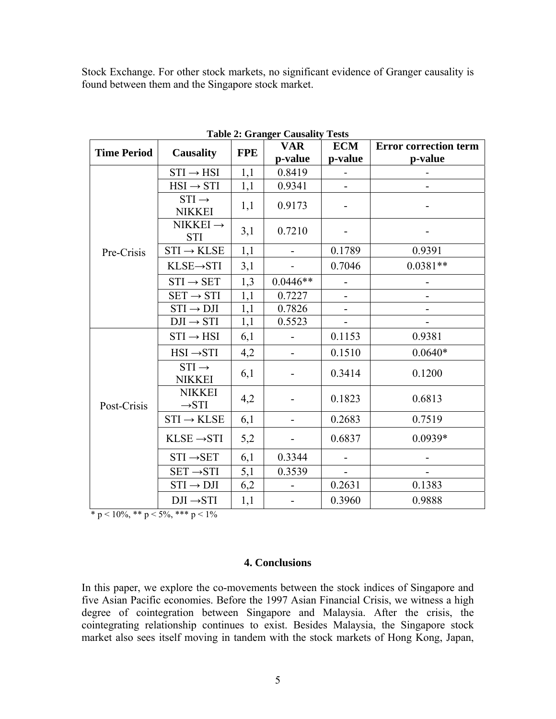Stock Exchange. For other stock markets, no significant evidence of Granger causality is found between them and the Singapore stock market.

| Table 2. Granger Causanty<br>T C <sub>2</sub> m <sub>2</sub> |                                    |            |                              |                          |                              |  |  |  |  |
|--------------------------------------------------------------|------------------------------------|------------|------------------------------|--------------------------|------------------------------|--|--|--|--|
| <b>Time Period</b>                                           | Causality                          | <b>FPE</b> | <b>VAR</b>                   | <b>ECM</b>               | <b>Error correction term</b> |  |  |  |  |
|                                                              |                                    |            | p-value                      | p-value                  | p-value                      |  |  |  |  |
| Pre-Crisis                                                   | $STI \rightarrow HSI$              | 1,1        | 0.8419                       |                          |                              |  |  |  |  |
|                                                              | $HSI \rightarrow STI$              | 1,1        | 0.9341                       | $\blacksquare$           |                              |  |  |  |  |
|                                                              | $STI \rightarrow$<br><b>NIKKEI</b> | 1,1        | 0.9173                       |                          |                              |  |  |  |  |
|                                                              | NIKKEI $\rightarrow$<br><b>STI</b> | 3,1        | 0.7210                       |                          |                              |  |  |  |  |
|                                                              | $STI \rightarrow KLSE$             | 1,1        | $\blacksquare$               | 0.1789                   | 0.9391                       |  |  |  |  |
|                                                              | KLSE→STI                           | 3,1        |                              | 0.7046                   | $0.0381**$                   |  |  |  |  |
|                                                              | $STI \rightarrow SET$              | 1,3        | $0.0446**$                   |                          |                              |  |  |  |  |
|                                                              | $SET \rightarrow STI$              | 1,1        | 0.7227                       | $\overline{\phantom{a}}$ |                              |  |  |  |  |
|                                                              | $STI \rightarrow DJI$              | 1,1        | 0.7826                       |                          |                              |  |  |  |  |
|                                                              | $DJI \rightarrow STI$              | 1,1        | 0.5523                       | $\blacksquare$           |                              |  |  |  |  |
| Post-Crisis                                                  | $STI \rightarrow HSI$              | 6,1        |                              | 0.1153                   | 0.9381                       |  |  |  |  |
|                                                              | $HSI \rightarrow STI$              | 4,2        |                              | 0.1510                   | $0.0640*$                    |  |  |  |  |
|                                                              | $STI \rightarrow$<br><b>NIKKEI</b> | 6,1        |                              | 0.3414                   | 0.1200                       |  |  |  |  |
|                                                              | <b>NIKKEI</b><br>$\rightarrow$ STI | 4,2        |                              | 0.1823                   | 0.6813                       |  |  |  |  |
|                                                              | $STI \rightarrow KLSE$             | 6,1        |                              | 0.2683                   | 0.7519                       |  |  |  |  |
|                                                              | $KLSE \rightarrow STI$             | 5,2        |                              | 0.6837                   | $0.0939*$                    |  |  |  |  |
|                                                              | $STI \rightarrow SET$              | 6,1        | 0.3344                       |                          |                              |  |  |  |  |
|                                                              | $SET \rightarrow STI$              | 5,1        | 0.3539                       |                          |                              |  |  |  |  |
|                                                              | $STI \rightarrow DJI$              | 6,2        | $\overline{\phantom{0}}$     | 0.2631                   | 0.1383                       |  |  |  |  |
|                                                              | $DJI \rightarrow STI$              | 1,1        | $\qquad \qquad \blacksquare$ | 0.3960                   | 0.9888                       |  |  |  |  |

**Table 2: Granger Causality Tests**

\* p <  $10\%$ , \*\* p <  $5\%$ , \*\*\* p <  $1\%$ 

### **4. Conclusions**

In this paper, we explore the co-movements between the stock indices of Singapore and five Asian Pacific economies. Before the 1997 Asian Financial Crisis, we witness a high degree of cointegration between Singapore and Malaysia. After the crisis, the cointegrating relationship continues to exist. Besides Malaysia, the Singapore stock market also sees itself moving in tandem with the stock markets of Hong Kong, Japan,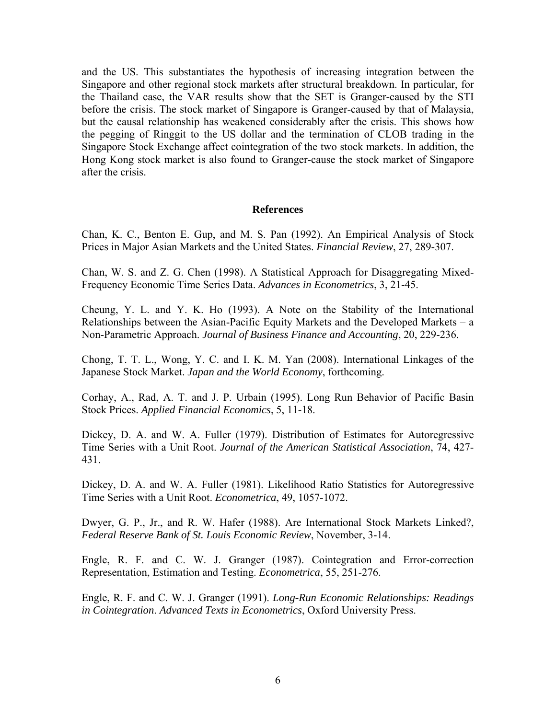and the US. This substantiates the hypothesis of increasing integration between the Singapore and other regional stock markets after structural breakdown. In particular, for the Thailand case, the VAR results show that the SET is Granger-caused by the STI before the crisis. The stock market of Singapore is Granger-caused by that of Malaysia, but the causal relationship has weakened considerably after the crisis. This shows how the pegging of Ringgit to the US dollar and the termination of CLOB trading in the Singapore Stock Exchange affect cointegration of the two stock markets. In addition, the Hong Kong stock market is also found to Granger-cause the stock market of Singapore after the crisis.

#### **References**

Chan, K. C., Benton E. Gup, and M. S. Pan (1992). An Empirical Analysis of Stock Prices in Major Asian Markets and the United States. *Financial Review*, 27, 289-307.

Chan, W. S. and Z. G. Chen (1998). A Statistical Approach for Disaggregating Mixed-Frequency Economic Time Series Data. *Advances in Econometrics*, 3, 21-45.

Cheung, Y. L. and Y. K. Ho (1993). A Note on the Stability of the International Relationships between the Asian-Pacific Equity Markets and the Developed Markets – a Non-Parametric Approach. *Journal of Business Finance and Accounting*, 20, 229-236.

Chong, T. T. L., Wong, Y. C. and I. K. M. Yan (2008). International Linkages of the Japanese Stock Market. *Japan and the World Economy*, forthcoming.

Corhay, A., Rad, A. T. and J. P. Urbain (1995). Long Run Behavior of Pacific Basin Stock Prices. *Applied Financial Economics*, 5, 11-18.

Dickey, D. A. and W. A. Fuller (1979). Distribution of Estimates for Autoregressive Time Series with a Unit Root. *Journal of the American Statistical Association*, 74, 427- 431.

Dickey, D. A. and W. A. Fuller (1981). Likelihood Ratio Statistics for Autoregressive Time Series with a Unit Root. *Econometrica*, 49, 1057-1072.

Dwyer, G. P., Jr., and R. W. Hafer (1988). Are International Stock Markets Linked?, *Federal Reserve Bank of St. Louis Economic Review*, November, 3-14.

Engle, R. F. and C. W. J. Granger (1987). Cointegration and Error-correction Representation, Estimation and Testing. *Econometrica*, 55, 251-276.

Engle, R. F. and C. W. J. Granger (1991). *Long-Run Economic Relationships: Readings in Cointegration*. *Advanced Texts in Econometrics*, Oxford University Press.